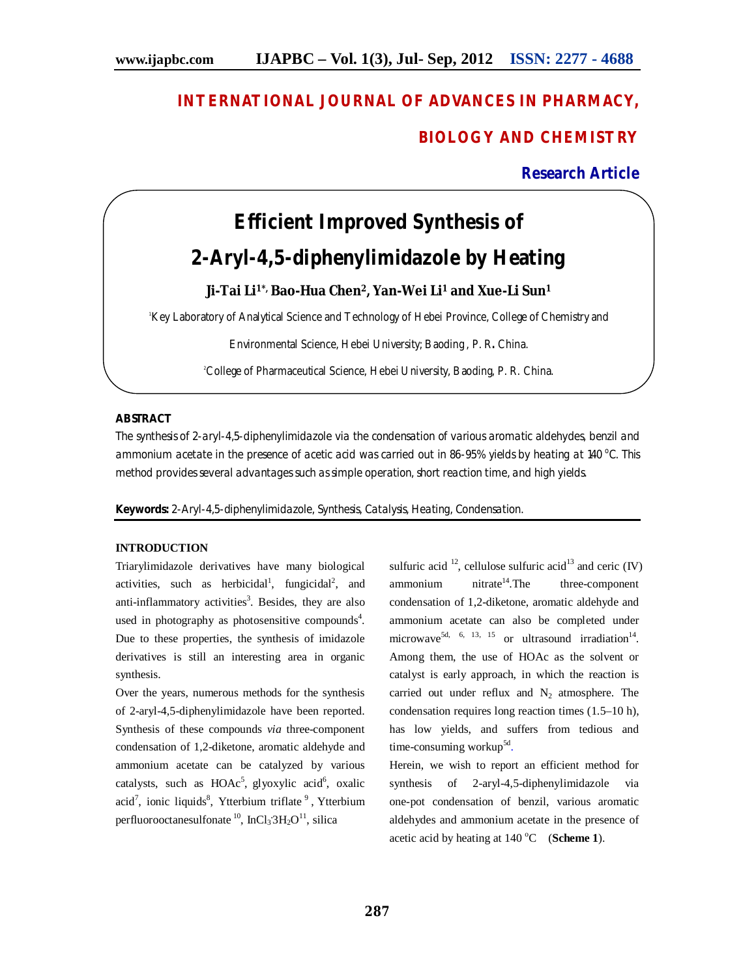# **INTERNATIONAL JOURNAL OF ADVANCES IN PHARMACY,**

# **BIOLOGY AND CHEMISTRY**

**Research Article**

# **Efficient Improved Synthesis of 2-Aryl-4,5-diphenylimidazole by Heating**

**Ji-Tai Li1\*, Bao-Hua Chen2, Yan-Wei Li<sup>1</sup> and Xue-Li Sun<sup>1</sup>**

Key Laboratory of Analytical Science and Technology of Hebei Province, College of Chemistry and

Environmental Science, Hebei University; Baoding , P. R**.** China.

2College of Pharmaceutical Science, Hebei University, Baoding, P. R. China.

# **ABSTRACT**

The synthesis of 2-aryl-4,5-diphenylimidazole via the condensation of various aromatic aldehydes, benzil and ammonium acetate in the presence of acetic acid was carried out in 86-95% yields by heating at 140 $\rm ^{o}$ C. This method provides several advantages such as simple operation, short reaction time, and high yields.

**Keywords:** 2-Aryl-4,5-diphenylimidazole, Synthesis, Catalysis, Heating, Condensation.

### **INTRODUCTION**

Triarylimidazole derivatives have many biological activities, such as herbicidal<sup>1</sup>, fungicidal<sup>2</sup>, and anti-inflammatory activities<sup>3</sup>. Besides, they are also used in photography as photosensitive compounds<sup>4</sup>. Due to these properties, the synthesis of imidazole derivatives is still an interesting area in organic synthesis.

Over the years, numerous methods for the synthesis of 2-aryl-4,5-diphenylimidazole have been reported. Synthesis of these compounds *via* three-component condensation of 1,2-diketone, aromatic aldehyde and ammonium acetate can be catalyzed by various catalysts, such as  $HOAc^5$ , glyoxylic acid<sup>6</sup>, oxalic  $\alpha$ ionic liquids<sup>8</sup>, Ytterbium triflate<sup>9</sup>, Ytterbium perfluorooctanesulfonate <sup>10</sup>, InCl<sub>3</sub><sup>-3</sup>H<sub>2</sub>O<sup>11</sup>, silica

sulfuric acid  $^{12}$ , cellulose sulfuric acid<sup>13</sup> and ceric (IV)  $\text{ammonium}$  nitrate<sup>14</sup>. The three-component condensation of 1,2-diketone, aromatic aldehyde and ammonium acetate can also be completed under microwave<sup>5d, 6, 13, 15</sup> or ultrasound irradiation<sup>14</sup>. Among them, the use of HOAc as the solvent or catalyst is early approach, in which the reaction is carried out under reflux and  $N_2$  atmosphere. The condensation requires long reaction times (1.5–10 h), has low yields, and suffers from tedious and time-consuming workup<sup>5d</sup>.

Herein, we wish to report an efficient method for synthesis of 2-aryl-4,5-diphenylimidazole via one-pot condensation of benzil, various aromatic aldehydes and ammonium acetate in the presence of acetic acid by heating at  $140^{\circ}$ C (**Scheme 1**).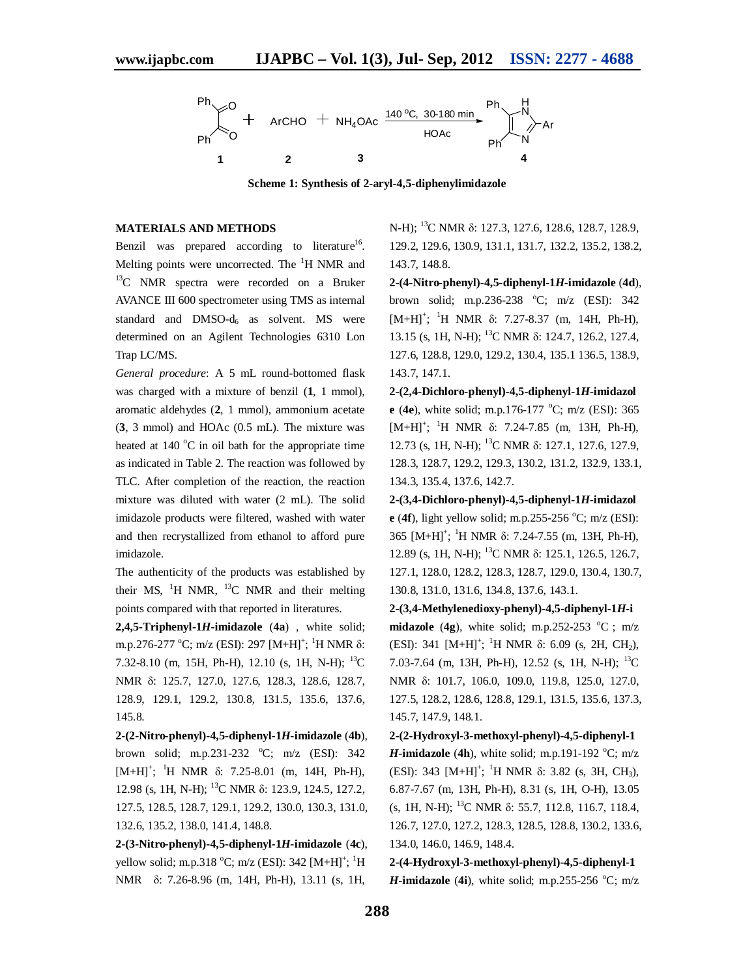

**Scheme 1: Synthesis of 2-aryl-4,5-diphenylimidazole**

#### **MATERIALS AND METHODS**

Benzil was prepared according to literature<sup>16</sup>. Melting points were uncorrected. The  ${}^{1}H$  NMR and <sup>13</sup>C NMR spectra were recorded on a Bruker AVANCE III 600 spectrometer using TMS as internal standard and  $DMSO-d<sub>6</sub>$  as solvent. MS were determined on an Agilent Technologies 6310 Lon Trap LC/MS.

*General procedure*: A 5 mL round-bottomed flask was charged with a mixture of benzil (**1**, 1 mmol), aromatic aldehydes (**2**, 1 mmol), ammonium acetate (**3**, 3 mmol) and HOAc (0.5 mL). The mixture was heated at  $140^{\circ}$ C in oil bath for the appropriate time as indicated in Table 2. The reaction was followed by TLC. After completion of the reaction, the reaction mixture was diluted with water (2 mL). The solid imidazole products were filtered, washed with water and then recrystallized from ethanol to afford pure imidazole.

The authenticity of the products was established by their MS,  $^{1}$ H NMR,  $^{13}$ C NMR and their melting points compared with that reported in literatures.

**2,4,5-Triphenyl-1***H***-imidazole** (**4a**) , white solid; m.p.276-277 °C; m/z (ESI): 297 [M+H]<sup>+</sup>; <sup>1</sup>H NMR δ: 7.32-8.10 (m, 15H, Ph-H), 12.10 (s, 1H, N-H); <sup>13</sup>C NMR δ: 125.7, 127.0, 127.6, 128.3, 128.6, 128.7, 128.9, 129.1, 129.2, 130.8, 131.5, 135.6, 137.6, 145.8.

**2-(2-Nitro-phenyl)-4,5-diphenyl-1***H***-imidazole** (**4b**), brown solid; m.p.231-232  $°C$ ; m/z (ESI): 342  $[M+H]^+$ ; <sup>1</sup>H NMR  $\delta$ : 7.25-8.01 (m, 14H, Ph-H), 12.98 (s, 1H, N-H); <sup>13</sup>C NMR δ: 123.9, 124.5, 127.2, 127.5, 128.5, 128.7, 129.1, 129.2, 130.0, 130.3, 131.0, 132.6, 135.2, 138.0, 141.4, 148.8.

**2-(3-Nitro-phenyl)-4,5-diphenyl-1***H***-imidazole** (**4c**), yellow solid; m.p.318 °C; m/z (ESI): 342 [M+H]<sup>+</sup>; <sup>1</sup>H NMR δ: 7.26-8.96 (m, 14H, Ph-H), 13.11 (s, 1H,

N-H); <sup>13</sup>C NMR δ: 127.3, 127.6, 128.6, 128.7, 128.9, 129.2, 129.6, 130.9, 131.1, 131.7, 132.2, 135.2, 138.2, 143.7, 148.8.

**2-(4-Nitro-phenyl)-4,5-diphenyl-1***H***-imidazole** (**4d**), brown solid; m.p.236-238  $^{\circ}$ C; m/z (ESI): 342  $[M+H]^+$ ; <sup>1</sup>H NMR  $\delta$ : 7.27-8.37 (m, 14H, Ph-H), 13.15 (s, 1H, N-H); <sup>13</sup>C NMR δ: 124.7, 126.2, 127.4, 127.6, 128.8, 129.0, 129.2, 130.4, 135.1 136.5, 138.9, 143.7, 147.1.

**2-(2,4-Dichloro-phenyl)-4,5-diphenyl-1***H***-imidazol e** (4e), white solid; m.p.176-177  $^{\circ}$ C; m/z (ESI): 365  $[M+H]^+$ ; <sup>1</sup>H NMR  $\delta$ : 7.24-7.85 (m, 13H, Ph-H), 12.73 (s, 1H, N-H); <sup>13</sup>C NMR δ: 127.1, 127.6, 127.9, 128.3, 128.7, 129.2, 129.3, 130.2, 131.2, 132.9, 133.1, 134.3, 135.4, 137.6, 142.7.

**2-(3,4-Dichloro-phenyl)-4,5-diphenyl-1***H***-imidazol e** (4f), light yellow solid; m.p.255-256  $^{\circ}$ C; m/z (ESI): 365 [M+H]<sup>+</sup>; <sup>1</sup>H NMR δ: 7.24-7.55 (m, 13H, Ph-H), 12.89 (s, 1H, N-H); <sup>13</sup>C NMR δ: 125.1, 126.5, 126.7, 127.1, 128.0, 128.2, 128.3, 128.7, 129.0, 130.4, 130.7, 130.8, 131.0, 131.6, 134.8, 137.6, 143.1.

**2-(3,4-Methylenedioxy-phenyl)-4,5-diphenyl-1***H***-i midazole** (4g), white solid; m.p.252-253  $^{\circ}$ C; m/z (ESI): 341  $[M+H]^+$ ; <sup>1</sup>H NMR δ: 6.09 (s, 2H, CH<sub>2</sub>), 7.03-7.64 (m, 13H, Ph-H), 12.52 (s, 1H, N-H);  $^{13}$ C NMR δ: 101.7, 106.0, 109.0, 119.8, 125.0, 127.0, 127.5, 128.2, 128.6, 128.8, 129.1, 131.5, 135.6, 137.3, 145.7, 147.9, 148.1.

**2-(2-Hydroxyl-3-methoxyl-phenyl)-4,5-diphenyl-1** *H***-imidazole** (4h), white solid; m.p.191-192  $^{\circ}$ C; m/z (ESI): 343  $[M+H]^+$ ; <sup>1</sup>H NMR  $\delta$ : 3.82 (s, 3H, CH<sub>3</sub>), 6.87-7.67 (m, 13H, Ph-H), 8.31 (s, 1H, O-H), 13.05 (s, 1H, N-H); <sup>13</sup>C NMR δ: 55.7, 112.8, 116.7, 118.4, 126.7, 127.0, 127.2, 128.3, 128.5, 128.8, 130.2, 133.6, 134.0, 146.0, 146.9, 148.4.

**2-(4-Hydroxyl-3-methoxyl-phenyl)-4,5-diphenyl-1** *H***-imidazole** (4i), white solid; m.p.255-256  $^{\circ}$ C; m/z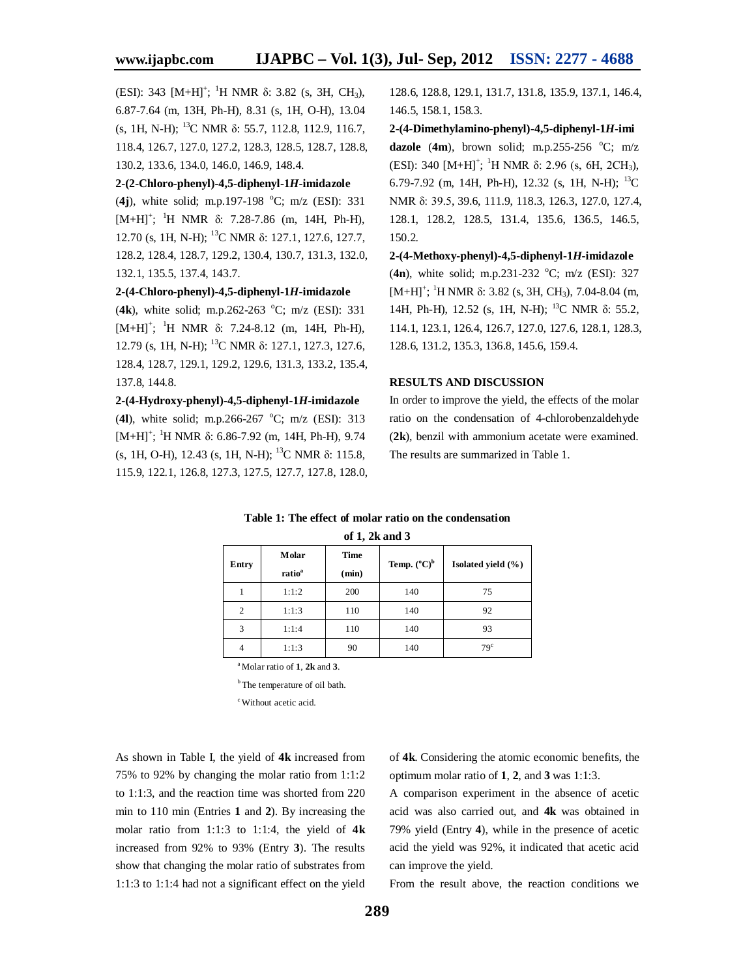(ESI): 343  $[M+H]^+$ ; <sup>1</sup>H NMR  $\delta$ : 3.82 (s, 3H, CH<sub>3</sub>), 6.87-7.64 (m, 13H, Ph-H), 8.31 (s, 1H, O-H), 13.04 (s, 1H, N-H); <sup>13</sup>C NMR δ: 55.7, 112.8, 112.9, 116.7, 118.4, 126.7, 127.0, 127.2, 128.3, 128.5, 128.7, 128.8, 130.2, 133.6, 134.0, 146.0, 146.9, 148.4.

# **2-(2-Chloro-phenyl)-4,5-diphenyl-1***H***-imidazole**

(4j), white solid; m.p.197-198  $^{\circ}$ C; m/z (ESI): 331  $[M+H]^+$ ; <sup>1</sup>H NMR  $\delta$ : 7.28-7.86 (m, 14H, Ph-H), 12.70 (s, 1H, N-H); <sup>13</sup>C NMR δ: 127.1, 127.6, 127.7, 128.2, 128.4, 128.7, 129.2, 130.4, 130.7, 131.3, 132.0, 132.1, 135.5, 137.4, 143.7.

# **2-(4-Chloro-phenyl)-4,5-diphenyl-1***H***-imidazole**

(4k), white solid; m.p.262-263 °C; m/z (ESI): 331  $[M+H]^+$ ; <sup>1</sup>H NMR  $\delta$ : 7.24-8.12 (m, 14H, Ph-H), 12.79 (s, 1H, N-H); <sup>13</sup>C NMR δ: 127.1, 127.3, 127.6, 128.4, 128.7, 129.1, 129.2, 129.6, 131.3, 133.2, 135.4, 137.8, 144.8.

# **2-(4-Hydroxy-phenyl)-4,5-diphenyl-1***H***-imidazole**

(4l), white solid; m.p.266-267 °C; m/z (ESI): 313  $[M+H]$ <sup>+</sup>; <sup>1</sup>H NMR δ: 6.86-7.92 (m, 14H, Ph-H), 9.74 (s, 1H, O-H), 12.43 (s, 1H, N-H); <sup>13</sup>C NMR δ: 115.8, 115.9, 122.1, 126.8, 127.3, 127.5, 127.7, 127.8, 128.0, 128.6, 128.8, 129.1, 131.7, 131.8, 135.9, 137.1, 146.4, 146.5, 158.1, 158.3.

**2-(4-Dimethylamino-phenyl)-4,5-diphenyl-1***H***-imi dazole** (4m), brown solid; m.p.255-256  $^{\circ}$ C; m/z (ESI): 340  $[M+H]^+$ ; <sup>1</sup>H NMR  $\delta$ : 2.96 (s, 6H, 2CH<sub>3</sub>), 6.79-7.92 (m, 14H, Ph-H), 12.32 (s, 1H, N-H);  $^{13}$ C NMR δ: 39.5, 39.6, 111.9, 118.3, 126.3, 127.0, 127.4, 128.1, 128.2, 128.5, 131.4, 135.6, 136.5, 146.5, 150.2.

**2-(4-Methoxy-phenyl)-4,5-diphenyl-1***H***-imidazole** (4n), white solid; m.p.231-232  $^{\circ}$ C; m/z (ESI): 327  $[M+H]^+$ ; <sup>1</sup>H NMR  $\delta$ : 3.82 (s, 3H, CH<sub>3</sub>), 7.04-8.04 (m, 14H, Ph-H), 12.52 (s, 1H, N-H); <sup>13</sup>C NMR δ: 55.2, 114.1, 123.1, 126.4, 126.7, 127.0, 127.6, 128.1, 128.3, 128.6, 131.2, 135.3, 136.8, 145.6, 159.4.

# **RESULTS AND DISCUSSION**

In order to improve the yield, the effects of the molar ratio on the condensation of 4-chlorobenzaldehyde (**2k**), benzil with ammonium acetate were examined. The results are summarized in Table 1.

### **Table 1: The effect of molar ratio on the condensation**

|  |  |  | of 1, 2k and 3 |  |
|--|--|--|----------------|--|
|--|--|--|----------------|--|

| Entry          | Molar<br>ratio <sup>a</sup> | <b>Time</b><br>(min) | Temp. $(^{\circ}C)^b$ | Isolated yield (%) |
|----------------|-----------------------------|----------------------|-----------------------|--------------------|
|                | 1:1:2                       | 200                  | 140                   | 75                 |
| $\overline{c}$ | 1:1:3                       | 110                  | 140                   | 92                 |
| 3              | 1:1:4                       | 110                  | 140                   | 93                 |
| $\overline{4}$ | 1:1:3                       | 90                   | 140                   | 79 <sup>c</sup>    |

<sup>a</sup>Molar ratio of **1**, **2k** and **3**.

<sup>b</sup>The temperature of oil bath.

<sup>c</sup>Without acetic acid.

As shown in Table I, the yield of **4k** increased from 75% to 92% by changing the molar ratio from 1:1:2 to 1:1:3, and the reaction time was shorted from 220 min to 110 min (Entries **1** and **2**). By increasing the molar ratio from 1:1:3 to 1:1:4, the yield of **4k** increased from 92% to 93% (Entry **3**). The results show that changing the molar ratio of substrates from 1:1:3 to 1:1:4 had not a significant effect on the yield

of **4k**. Considering the atomic economic benefits, the optimum molar ratio of **1**, **2**, and **3** was 1:1:3.

A comparison experiment in the absence of acetic acid was also carried out, and **4k** was obtained in 79% yield (Entry **4**), while in the presence of acetic acid the yield was 92%, it indicated that acetic acid can improve the yield.

From the result above, the reaction conditions we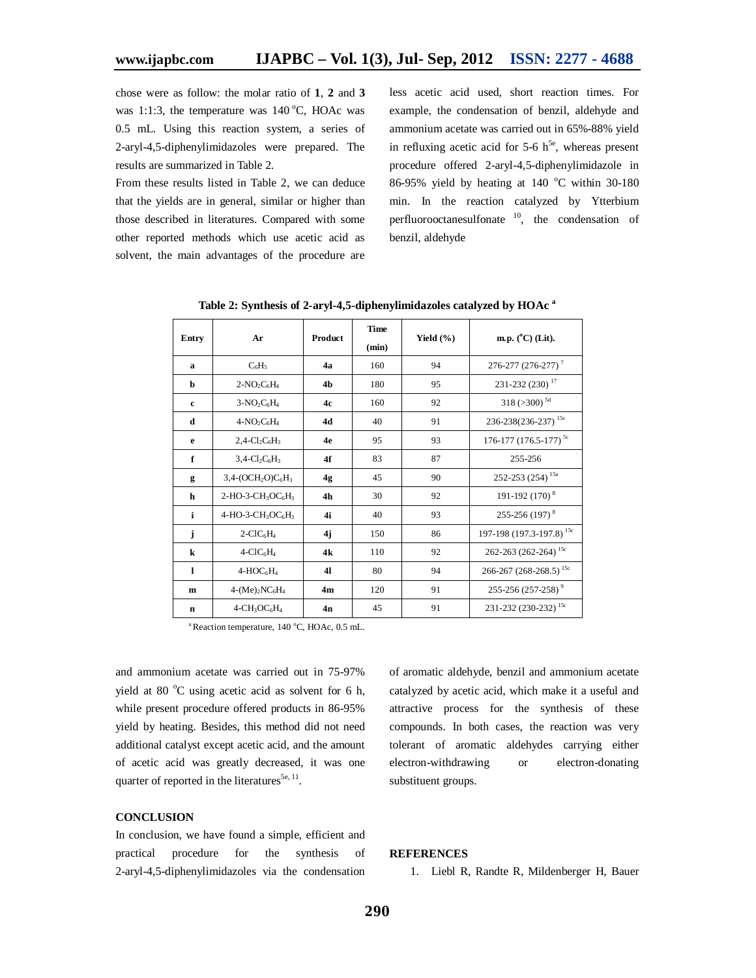chose were as follow: the molar ratio of **1**, **2** and **3** was 1:1:3, the temperature was  $140^{\circ}$ C, HOAc was 0.5 mL. Using this reaction system, a series of 2-aryl-4,5-diphenylimidazoles were prepared. The results are summarized in Table 2.

From these results listed in Table 2, we can deduce that the yields are in general, similar or higher than those described in literatures. Compared with some other reported methods which use acetic acid as solvent, the main advantages of the procedure are

less acetic acid used, short reaction times. For example, the condensation of benzil, aldehyde and ammonium acetate was carried out in 65%-88% yield in refluxing acetic acid for  $5-6$  h<sup>5e</sup>, whereas present procedure offered 2-aryl-4,5-diphenylimidazole in 86-95% yield by heating at 140  $^{\circ}$ C within 30-180 min. In the reaction catalyzed by Ytterbium perfluorooctanesulfonate  $\frac{10}{10}$ , the condensation of benzil, aldehyde

| Entry        | Ar                                                   | Product        | <b>Time</b><br>(min) | Yield $(\% )$ | m.p. $(^{\circ}C)$ (Lit).            |
|--------------|------------------------------------------------------|----------------|----------------------|---------------|--------------------------------------|
| a            | $C_6H_5$                                             | 4a             | 160                  | 94            | 276-277 (276-277) <sup>7</sup>       |
| b            | $2-NO2Cl4$                                           | 4 <sub>h</sub> | 180                  | 95            | 231-232 (230) <sup>17</sup>          |
| $\mathbf{c}$ | $3-NO2C6H4$                                          | 4c             | 160                  | 92            | $318$ (>300) <sup>5d</sup>           |
| d            | $4-NO_2C_6H_4$                                       | <b>4d</b>      | 40                   | 91            | 236-238(236-237) <sup>15c</sup>      |
| e            | $2,4-Cl_2C_6H_3$                                     | 4e             | 95                   | 93            | 176-177 (176.5-177) <sup>5c</sup>    |
| f            | $3,4$ -Cl <sub>2</sub> C <sub>6</sub> H <sub>3</sub> | 4f             | 83                   | 87            | 255-256                              |
| g            | $3,4-(OCH2O)C6H3$                                    | 4g             | 45                   | 90            | 252-253 (254) <sup>15a</sup>         |
| h            | $2-HO-3-CH_3OC_6H_3$                                 | 4 <sub>h</sub> | 30                   | 92            | 191-192 (170) <sup>8</sup>           |
| i            | $4-HO-3-CH3OC6H3$                                    | 4i             | 40                   | 93            | 255-256 (197) <sup>8</sup>           |
| j            | $2-CIC6H4$                                           | 4j             | 150                  | 86            | 197-198 (197.3-197.8) <sup>15c</sup> |
| $\bf k$      | $4-CIC6H4$                                           | 4k             | 110                  | 92            | 262-263 (262-264) <sup>15c</sup>     |
| L            | $4-HOC6H4$                                           | 41             | 80                   | 94            | 266-267 (268-268.5) <sup>15c</sup>   |
| m            | $4-(Me)_{2}NC_{6}H_{4}$                              | 4m             | 120                  | 91            | 255-256 (257-258) <sup>9</sup>       |
| n            | $4$ -CH <sub>3</sub> OC <sub>6</sub> H <sub>4</sub>  | 4n             | 45                   | 91            | 231-232 (230-232) <sup>15c</sup>     |

**Table 2: Synthesis of 2-aryl-4,5-diphenylimidazoles catalyzed by HOAc <sup>a</sup>**

 $a^a$ Reaction temperature, 140 °C, HOAc, 0.5 mL.

and ammonium acetate was carried out in 75-97% yield at 80  $^{\circ}$ C using acetic acid as solvent for 6 h, while present procedure offered products in 86-95% yield by heating. Besides, this method did not need additional catalyst except acetic acid, and the amount of acetic acid was greatly decreased, it was one quarter of reported in the literatures<sup>5e, 11</sup>.

#### **CONCLUSION**

In conclusion, we have found a simple, efficient and practical procedure for the synthesis of 2-aryl-4,5-diphenylimidazoles via the condensation

of aromatic aldehyde, benzil and ammonium acetate catalyzed by acetic acid, which make it a useful and attractive process for the synthesis of these compounds. In both cases, the reaction was very tolerant of aromatic aldehydes carrying either electron-withdrawing or electron-donating substituent groups.

# **REFERENCES**

1. Liebl R, Randte R, Mildenberger H, Bauer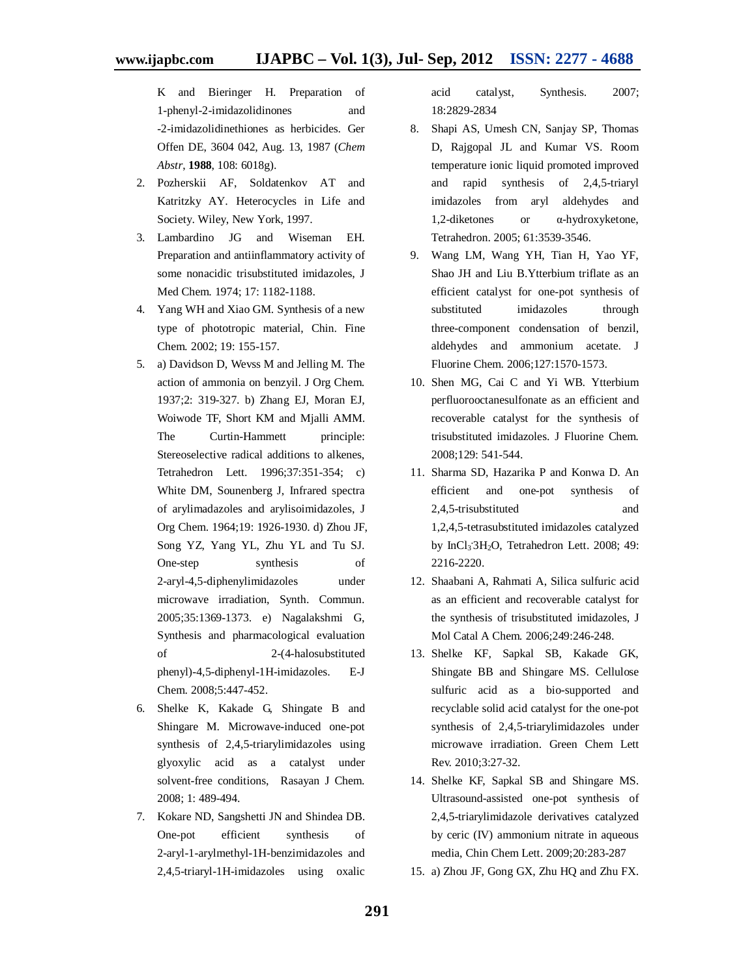K and Bieringer H. Preparation of 1-phenyl-2-imidazolidinones and -2-imidazolidinethiones as herbicides. Ger Offen DE, 3604 042, Aug. 13, 1987 (*Chem Abstr*, **1988**, 108: 6018g).

- 2. Pozherskii AF, Soldatenkov AT and Katritzky AY. Heterocycles in Life and Society. Wiley, New York, 1997.
- 3. Lambardino JG and Wiseman EH. Preparation and antiinflammatory activity of some nonacidic trisubstituted imidazoles, J Med Chem. 1974; 17: 1182-1188.
- 4. Yang WH and Xiao GM. Synthesis of a new type of phototropic material, Chin. Fine Chem*.* 2002; 19: 155-157.
- 5. a) Davidson D, Wevss M and Jelling M. The action of ammonia on benzyil. J Org Chem. 1937;2: 319-327. b) Zhang EJ, Moran EJ, Woiwode TF, Short KM and Mjalli AMM. The Curtin-Hammett principle: Stereoselective radical additions to alkenes, Tetrahedron Lett. 1996;37:351-354; c) White DM, Sounenberg J, Infrared spectra of arylimadazoles and arylisoimidazoles, J Org Chem. 1964;19: 1926-1930. d) Zhou JF, Song YZ, Yang YL, Zhu YL and Tu SJ. One-step synthesis of 2-aryl-4,5-diphenylimidazoles under microwave irradiation, Synth. Commun. 2005;35:1369-1373. e) Nagalakshmi G, Synthesis and pharmacological evaluation of 2-(4-halosubstituted phenyl)-4,5-diphenyl-1H-imidazoles. E-J Chem. 2008;5:447-452.
- 6. Shelke K, Kakade G, Shingate B and Shingare M. Microwave-induced one-pot synthesis of 2,4,5-triarylimidazoles using glyoxylic acid as a catalyst under solvent-free conditions, Rasayan J Chem. 2008; 1: 489-494.
- 7. Kokare ND, Sangshetti JN and Shindea DB. One-pot efficient synthesis of 2-aryl-1-arylmethyl-1H-benzimidazoles and 2,4,5-triaryl-1H-imidazoles using oxalic

acid catalyst, Synthesis. 2007; 18:2829-2834

- 8. Shapi AS, Umesh CN, Sanjay SP, Thomas D, Rajgopal JL and Kumar VS. Room temperature ionic liquid promoted improved and rapid synthesis of 2,4,5-triaryl imidazoles from aryl aldehydes and 1,2-diketones or α-hydroxyketone, Tetrahedron. 2005; 61:3539-3546.
- 9. Wang LM, Wang YH, Tian H, Yao YF, Shao JH and Liu B.Ytterbium triflate as an efficient catalyst for one-pot synthesis of substituted imidazoles through three-component condensation of benzil, aldehydes and ammonium acetate. J Fluorine Chem. 2006;127:1570-1573.
- 10. Shen MG, Cai C and Yi WB. Ytterbium perfluorooctanesulfonate as an efficient and recoverable catalyst for the synthesis of trisubstituted imidazoles. J Fluorine Chem. 2008;129: 541-544.
- 11. Sharma SD, Hazarika P and Konwa D. An efficient and one-pot synthesis of 2,4,5-trisubstituted and 1,2,4,5-tetrasubstituted imidazoles catalyzed by InCl<sub>3</sub><sup>:</sup>3H<sub>2</sub>O, Tetrahedron Lett. 2008; 49: 2216-2220.
- 12. Shaabani A, Rahmati A, Silica sulfuric acid as an efficient and recoverable catalyst for the synthesis of trisubstituted imidazoles, J Mol Catal A Chem*.* 2006;249:246-248.
- 13. Shelke KF, Sapkal SB, Kakade GK, Shingate BB and Shingare MS. Cellulose sulfuric acid as a bio-supported and recyclable solid acid catalyst for the one-pot synthesis of 2,4,5-triarylimidazoles under microwave irradiation. Green Chem Lett Rev. 2010;3:27-32.
- 14. Shelke KF, Sapkal SB and Shingare MS. Ultrasound-assisted one-pot synthesis of 2,4,5-triarylimidazole derivatives catalyzed by ceric (IV) ammonium nitrate in aqueous media, Chin Chem Lett. 2009;20:283-287
- 15. a) Zhou JF, Gong GX, Zhu HQ and Zhu FX.